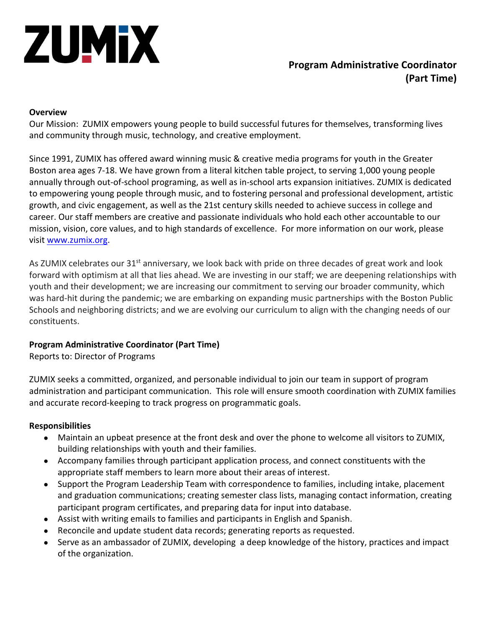

# **Program Administrative Coordinator (Part Time)**

#### **Overview**

Our Mission: ZUMIX empowers young people to build successful futures for themselves, transforming lives and community through music, technology, and creative employment.

Since 1991, ZUMIX has offered award winning music & creative media programs for youth in the Greater Boston area ages 7-18. We have grown from a literal kitchen table project, to serving 1,000 young people annually through out-of-school programing, as well as in-school arts expansion initiatives. ZUMIX is dedicated to empowering young people through music, and to fostering personal and professional development, artistic growth, and civic engagement, as well as the 21st century skills needed to achieve success in college and career. Our staff members are creative and passionate individuals who hold each other accountable to our mission, vision, core values, and to high standards of excellence. For more information on our work, please visit www.zumix.org.

As ZUMIX celebrates our 31<sup>st</sup> anniversary, we look back with pride on three decades of great work and look forward with optimism at all that lies ahead. We are investing in our staff; we are deepening relationships with youth and their development; we are increasing our commitment to serving our broader community, which was hard-hit during the pandemic; we are embarking on expanding music partnerships with the Boston Public Schools and neighboring districts; and we are evolving our curriculum to align with the changing needs of our constituents.

## **Program Administrative Coordinator (Part Time)**

Reports to: Director of Programs

ZUMIX seeks a committed, organized, and personable individual to join our team in support of program administration and participant communication. This role will ensure smooth coordination with ZUMIX families and accurate record-keeping to track progress on programmatic goals.

#### **Responsibilities**

- Maintain an upbeat presence at the front desk and over the phone to welcome all visitors to ZUMIX, building relationships with youth and their families.
- Accompany families through participant application process, and connect constituents with the appropriate staff members to learn more about their areas of interest.
- Support the Program Leadership Team with correspondence to families, including intake, placement and graduation communications; creating semester class lists, managing contact information, creating participant program certificates, and preparing data for input into database.
- Assist with writing emails to families and participants in English and Spanish.
- Reconcile and update student data records; generating reports as requested.
- Serve as an ambassador of ZUMIX, developing a deep knowledge of the history, practices and impact of the organization.